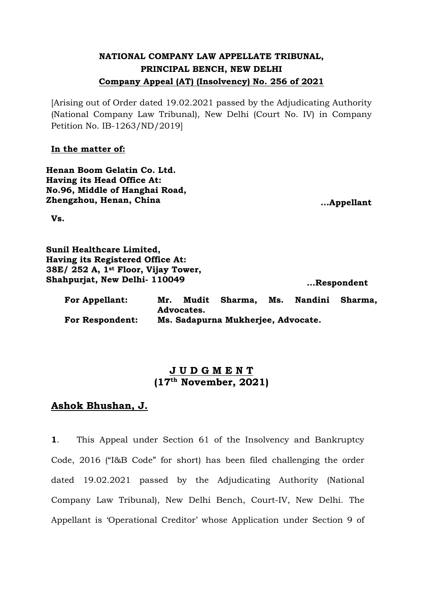# **NATIONAL COMPANY LAW APPELLATE TRIBUNAL, PRINCIPAL BENCH, NEW DELHI Company Appeal (AT) (Insolvency) No. 256 of 2021**

[Arising out of Order dated 19.02.2021 passed by the Adjudicating Authority (National Company Law Tribunal), New Delhi (Court No. IV) in Company Petition No. IB-1263/ND/2019]

### **In the matter of:**

**Henan Boom Gelatin Co. Ltd. Having its Head Office At: No.96, Middle of Hanghai Road, Zhengzhou, Henan, China ...Appellant**

**Vs.**

**Sunil Healthcare Limited, Having its Registered Office At: 38E/ 252 A, 1st Floor, Vijay Tower, Shahpurjat, New Delhi- 110049**

**...Respondent** 

| <b>For Appellant:</b>  | Mr.                                |  | Mudit Sharma, | Ms. | Nandini | Sharma. |
|------------------------|------------------------------------|--|---------------|-----|---------|---------|
|                        | Advocates.                         |  |               |     |         |         |
| <b>For Respondent:</b> | Ms. Sadapurna Mukherjee, Advocate. |  |               |     |         |         |

## **J U D G M E N T (17th November, 2021)**

## **Ashok Bhushan, J.**

**1**. This Appeal under Section 61 of the Insolvency and Bankruptcy Code, 2016 ("I&B Code" for short) has been filed challenging the order dated 19.02.2021 passed by the Adjudicating Authority (National Company Law Tribunal), New Delhi Bench, Court-IV, New Delhi. The Appellant is 'Operational Creditor' whose Application under Section 9 of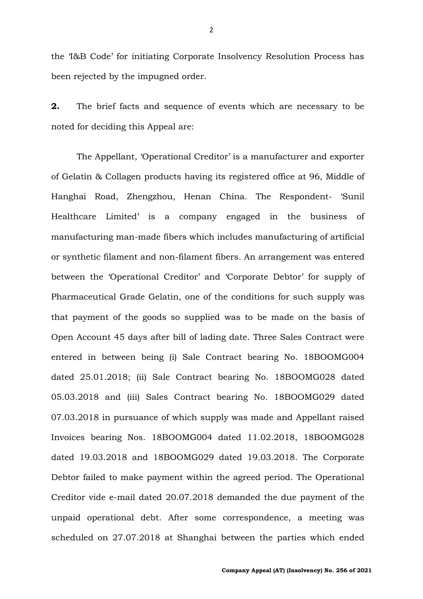the 'I&B Code' for initiating Corporate Insolvency Resolution Process has been rejected by the impugned order.

**2.** The brief facts and sequence of events which are necessary to be noted for deciding this Appeal are:

The Appellant, 'Operational Creditor' is a manufacturer and exporter of Gelatin & Collagen products having its registered office at 96, Middle of Hanghai Road, Zhengzhou, Henan China. The Respondent- 'Sunil Healthcare Limited' is a company engaged in the business of manufacturing man-made fibers which includes manufacturing of artificial or synthetic filament and non-filament fibers. An arrangement was entered between the 'Operational Creditor' and 'Corporate Debtor' for supply of Pharmaceutical Grade Gelatin, one of the conditions for such supply was that payment of the goods so supplied was to be made on the basis of Open Account 45 days after bill of lading date. Three Sales Contract were entered in between being (i) Sale Contract bearing No. 18BOOMG004 dated 25.01.2018; (ii) Sale Contract bearing No. 18BOOMG028 dated 05.03.2018 and (iii) Sales Contract bearing No. 18BOOMG029 dated 07.03.2018 in pursuance of which supply was made and Appellant raised Invoices bearing Nos. 18BOOMG004 dated 11.02.2018, 18BOOMG028 dated 19.03.2018 and 18BOOMG029 dated 19.03.2018. The Corporate Debtor failed to make payment within the agreed period. The Operational Creditor vide e-mail dated 20.07.2018 demanded the due payment of the unpaid operational debt. After some correspondence, a meeting was scheduled on 27.07.2018 at Shanghai between the parties which ended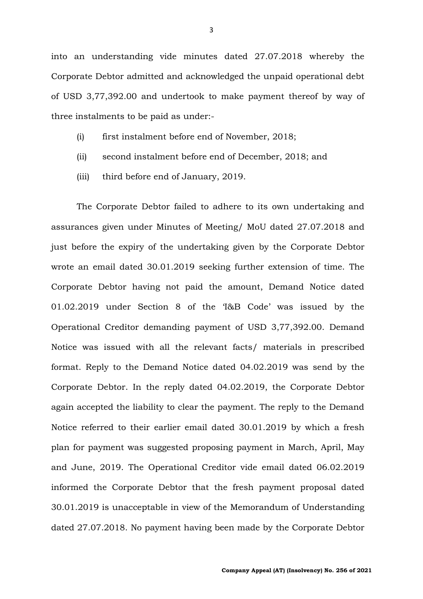into an understanding vide minutes dated 27.07.2018 whereby the Corporate Debtor admitted and acknowledged the unpaid operational debt of USD 3,77,392.00 and undertook to make payment thereof by way of three instalments to be paid as under:-

- (i) first instalment before end of November, 2018;
- (ii) second instalment before end of December, 2018; and
- (iii) third before end of January, 2019.

The Corporate Debtor failed to adhere to its own undertaking and assurances given under Minutes of Meeting/ MoU dated 27.07.2018 and just before the expiry of the undertaking given by the Corporate Debtor wrote an email dated 30.01.2019 seeking further extension of time. The Corporate Debtor having not paid the amount, Demand Notice dated 01.02.2019 under Section 8 of the 'I&B Code' was issued by the Operational Creditor demanding payment of USD 3,77,392.00. Demand Notice was issued with all the relevant facts/ materials in prescribed format. Reply to the Demand Notice dated 04.02.2019 was send by the Corporate Debtor. In the reply dated 04.02.2019, the Corporate Debtor again accepted the liability to clear the payment. The reply to the Demand Notice referred to their earlier email dated 30.01.2019 by which a fresh plan for payment was suggested proposing payment in March, April, May and June, 2019. The Operational Creditor vide email dated 06.02.2019 informed the Corporate Debtor that the fresh payment proposal dated 30.01.2019 is unacceptable in view of the Memorandum of Understanding dated 27.07.2018. No payment having been made by the Corporate Debtor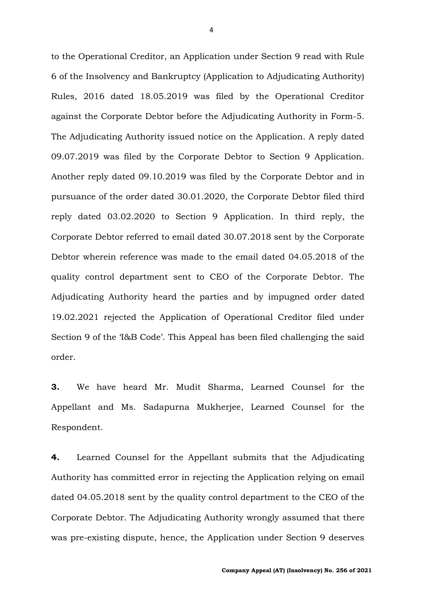to the Operational Creditor, an Application under Section 9 read with Rule 6 of the Insolvency and Bankruptcy (Application to Adjudicating Authority) Rules, 2016 dated 18.05.2019 was filed by the Operational Creditor against the Corporate Debtor before the Adjudicating Authority in Form-5. The Adjudicating Authority issued notice on the Application. A reply dated 09.07.2019 was filed by the Corporate Debtor to Section 9 Application. Another reply dated 09.10.2019 was filed by the Corporate Debtor and in pursuance of the order dated 30.01.2020, the Corporate Debtor filed third reply dated 03.02.2020 to Section 9 Application. In third reply, the Corporate Debtor referred to email dated 30.07.2018 sent by the Corporate Debtor wherein reference was made to the email dated 04.05.2018 of the quality control department sent to CEO of the Corporate Debtor. The Adjudicating Authority heard the parties and by impugned order dated 19.02.2021 rejected the Application of Operational Creditor filed under Section 9 of the 'I&B Code'. This Appeal has been filed challenging the said order.

**3.** We have heard Mr. Mudit Sharma, Learned Counsel for the Appellant and Ms. Sadapurna Mukherjee, Learned Counsel for the Respondent.

**4.** Learned Counsel for the Appellant submits that the Adjudicating Authority has committed error in rejecting the Application relying on email dated 04.05.2018 sent by the quality control department to the CEO of the Corporate Debtor. The Adjudicating Authority wrongly assumed that there was pre-existing dispute, hence, the Application under Section 9 deserves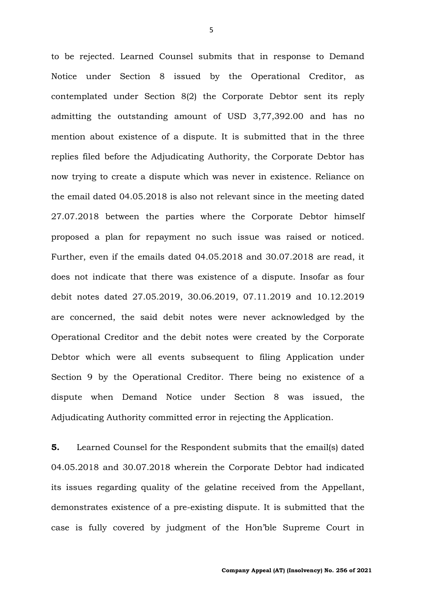to be rejected. Learned Counsel submits that in response to Demand Notice under Section 8 issued by the Operational Creditor, as contemplated under Section 8(2) the Corporate Debtor sent its reply admitting the outstanding amount of USD 3,77,392.00 and has no mention about existence of a dispute. It is submitted that in the three replies filed before the Adjudicating Authority, the Corporate Debtor has now trying to create a dispute which was never in existence. Reliance on the email dated 04.05.2018 is also not relevant since in the meeting dated 27.07.2018 between the parties where the Corporate Debtor himself proposed a plan for repayment no such issue was raised or noticed. Further, even if the emails dated 04.05.2018 and 30.07.2018 are read, it does not indicate that there was existence of a dispute. Insofar as four debit notes dated 27.05.2019, 30.06.2019, 07.11.2019 and 10.12.2019 are concerned, the said debit notes were never acknowledged by the Operational Creditor and the debit notes were created by the Corporate Debtor which were all events subsequent to filing Application under Section 9 by the Operational Creditor. There being no existence of a dispute when Demand Notice under Section 8 was issued, the Adjudicating Authority committed error in rejecting the Application.

**5.** Learned Counsel for the Respondent submits that the email(s) dated 04.05.2018 and 30.07.2018 wherein the Corporate Debtor had indicated its issues regarding quality of the gelatine received from the Appellant, demonstrates existence of a pre-existing dispute. It is submitted that the case is fully covered by judgment of the Hon'ble Supreme Court in

5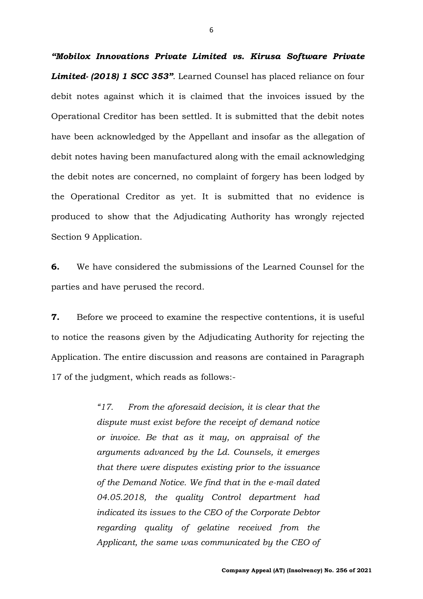*"Mobilox Innovations Private Limited vs. Kirusa Software Private Limited- (2018) 1 SCC 353"*. Learned Counsel has placed reliance on four debit notes against which it is claimed that the invoices issued by the Operational Creditor has been settled. It is submitted that the debit notes have been acknowledged by the Appellant and insofar as the allegation of debit notes having been manufactured along with the email acknowledging the debit notes are concerned, no complaint of forgery has been lodged by the Operational Creditor as yet. It is submitted that no evidence is produced to show that the Adjudicating Authority has wrongly rejected Section 9 Application.

**6.** We have considered the submissions of the Learned Counsel for the parties and have perused the record.

**7.** Before we proceed to examine the respective contentions, it is useful to notice the reasons given by the Adjudicating Authority for rejecting the Application. The entire discussion and reasons are contained in Paragraph 17 of the judgment, which reads as follows:-

> *"17. From the aforesaid decision, it is clear that the dispute must exist before the receipt of demand notice or invoice. Be that as it may, on appraisal of the arguments advanced by the Ld. Counsels, it emerges that there were disputes existing prior to the issuance of the Demand Notice. We find that in the e-mail dated 04.05.2018, the quality Control department had indicated its issues to the CEO of the Corporate Debtor regarding quality of gelatine received from the Applicant, the same was communicated by the CEO of*

6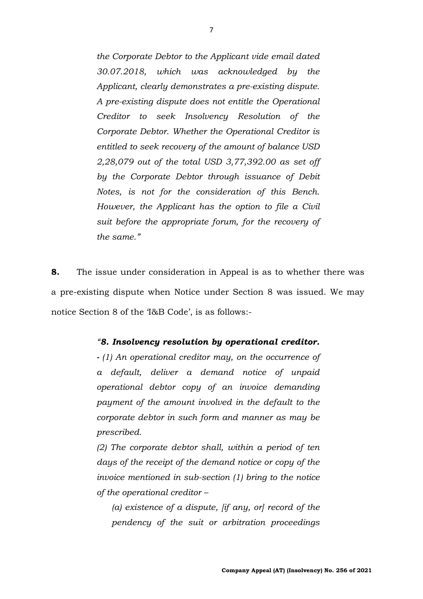*the Corporate Debtor to the Applicant vide email dated 30.07.2018, which was acknowledged by the Applicant, clearly demonstrates a pre-existing dispute. A pre-existing dispute does not entitle the Operational Creditor to seek Insolvency Resolution of the Corporate Debtor. Whether the Operational Creditor is entitled to seek recovery of the amount of balance USD 2,28,079 out of the total USD 3,77,392.00 as set off by the Corporate Debtor through issuance of Debit Notes, is not for the consideration of this Bench. However, the Applicant has the option to file a Civil suit before the appropriate forum, for the recovery of the same."*

**8.** The issue under consideration in Appeal is as to whether there was a pre-existing dispute when Notice under Section 8 was issued. We may notice Section 8 of the 'I&B Code', is as follows:-

### *"8. Insolvency resolution by operational creditor.*

*- (1) An operational creditor may, on the occurrence of a default, deliver a demand notice of unpaid operational debtor copy of an invoice demanding payment of the amount involved in the default to the corporate debtor in such form and manner as may be prescribed.* 

*(2) The corporate debtor shall, within a period of ten days of the receipt of the demand notice or copy of the invoice mentioned in sub-section (1) bring to the notice of the operational creditor –*

*(a) existence of a dispute, [if any, or] record of the pendency of the suit or arbitration proceedings*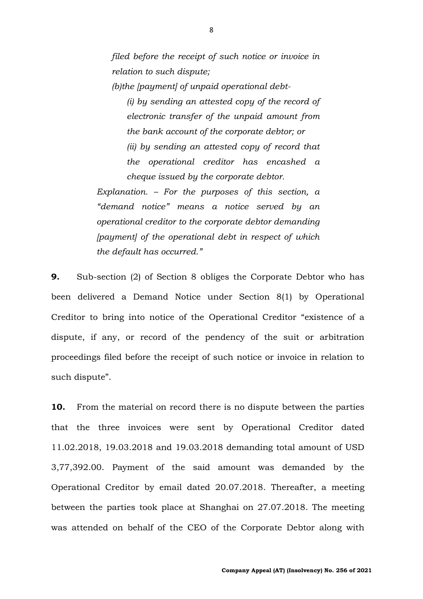*filed before the receipt of such notice or invoice in relation to such dispute;* 

*(b)the [payment] of unpaid operational debt-*

*(i) by sending an attested copy of the record of electronic transfer of the unpaid amount from the bank account of the corporate debtor; or (ii) by sending an attested copy of record that the operational creditor has encashed a cheque issued by the corporate debtor.* 

*Explanation. – For the purposes of this section, a "demand notice" means a notice served by an operational creditor to the corporate debtor demanding [payment] of the operational debt in respect of which the default has occurred."*

**9.** Sub-section (2) of Section 8 obliges the Corporate Debtor who has been delivered a Demand Notice under Section 8(1) by Operational Creditor to bring into notice of the Operational Creditor "existence of a dispute, if any, or record of the pendency of the suit or arbitration proceedings filed before the receipt of such notice or invoice in relation to such dispute".

**10.** From the material on record there is no dispute between the parties that the three invoices were sent by Operational Creditor dated 11.02.2018, 19.03.2018 and 19.03.2018 demanding total amount of USD 3,77,392.00. Payment of the said amount was demanded by the Operational Creditor by email dated 20.07.2018. Thereafter, a meeting between the parties took place at Shanghai on 27.07.2018. The meeting was attended on behalf of the CEO of the Corporate Debtor along with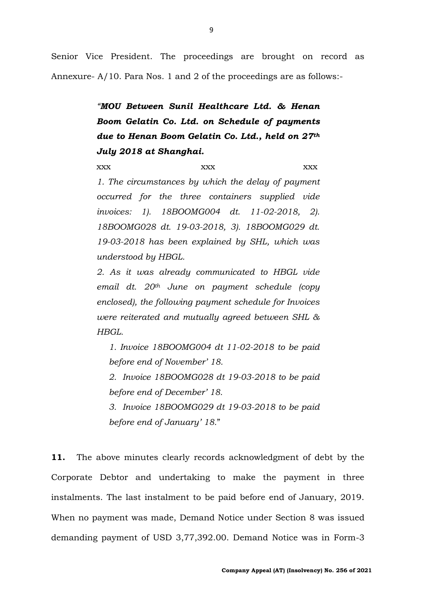Senior Vice President. The proceedings are brought on record as Annexure- A/10. Para Nos. 1 and 2 of the proceedings are as follows:-

> *"MOU Between Sunil Healthcare Ltd. & Henan Boom Gelatin Co. Ltd. on Schedule of payments due to Henan Boom Gelatin Co. Ltd., held on 27th July 2018 at Shanghai.*

> xxx xxx xxx xxx *1. The circumstances by which the delay of payment occurred for the three containers supplied vide invoices: 1). 18BOOMG004 dt. 11-02-2018, 2). 18BOOMG028 dt. 19-03-2018, 3). 18BOOMG029 dt. 19-03-2018 has been explained by SHL, which was understood by HBGL.*

> *2. As it was already communicated to HBGL vide email dt. 20th June on payment schedule (copy enclosed), the following payment schedule for Invoices were reiterated and mutually agreed between SHL & HBGL.*

*1. Invoice 18BOOMG004 dt 11-02-2018 to be paid before end of November' 18.*

*2. Invoice 18BOOMG028 dt 19-03-2018 to be paid before end of December' 18.*

*3. Invoice 18BOOMG029 dt 19-03-2018 to be paid before end of January' 18.*"

**11.** The above minutes clearly records acknowledgment of debt by the Corporate Debtor and undertaking to make the payment in three instalments. The last instalment to be paid before end of January, 2019. When no payment was made, Demand Notice under Section 8 was issued demanding payment of USD 3,77,392.00. Demand Notice was in Form-3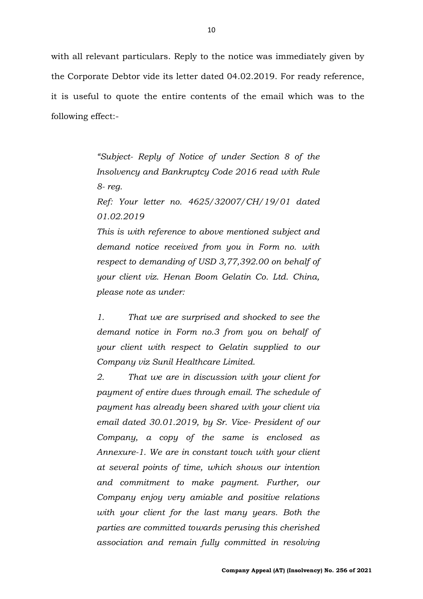with all relevant particulars. Reply to the notice was immediately given by the Corporate Debtor vide its letter dated 04.02.2019. For ready reference, it is useful to quote the entire contents of the email which was to the following effect:-

> *"Subject- Reply of Notice of under Section 8 of the Insolvency and Bankruptcy Code 2016 read with Rule 8- reg.*

> *Ref: Your letter no. 4625/32007/CH/19/01 dated 01.02.2019*

> *This is with reference to above mentioned subject and demand notice received from you in Form no. with respect to demanding of USD 3,77,392.00 on behalf of your client viz. Henan Boom Gelatin Co. Ltd. China, please note as under:*

> *1. That we are surprised and shocked to see the demand notice in Form no.3 from you on behalf of your client with respect to Gelatin supplied to our Company viz Sunil Healthcare Limited.*

> *2. That we are in discussion with your client for payment of entire dues through email. The schedule of payment has already been shared with your client via email dated 30.01.2019, by Sr. Vice- President of our Company, a copy of the same is enclosed as Annexure-1. We are in constant touch with your client at several points of time, which shows our intention and commitment to make payment. Further, our Company enjoy very amiable and positive relations with your client for the last many years. Both the parties are committed towards perusing this cherished association and remain fully committed in resolving*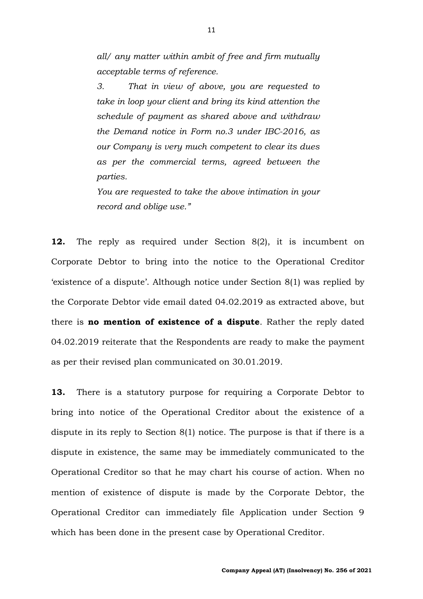*all/ any matter within ambit of free and firm mutually acceptable terms of reference.*

*3. That in view of above, you are requested to take in loop your client and bring its kind attention the schedule of payment as shared above and withdraw the Demand notice in Form no.3 under IBC-2016, as our Company is very much competent to clear its dues as per the commercial terms, agreed between the parties.*

*You are requested to take the above intimation in your record and oblige use."*

**12.** The reply as required under Section 8(2), it is incumbent on Corporate Debtor to bring into the notice to the Operational Creditor 'existence of a dispute'. Although notice under Section 8(1) was replied by the Corporate Debtor vide email dated 04.02.2019 as extracted above, but there is **no mention of existence of a dispute**. Rather the reply dated 04.02.2019 reiterate that the Respondents are ready to make the payment as per their revised plan communicated on 30.01.2019.

**13.** There is a statutory purpose for requiring a Corporate Debtor to bring into notice of the Operational Creditor about the existence of a dispute in its reply to Section 8(1) notice. The purpose is that if there is a dispute in existence, the same may be immediately communicated to the Operational Creditor so that he may chart his course of action. When no mention of existence of dispute is made by the Corporate Debtor, the Operational Creditor can immediately file Application under Section 9 which has been done in the present case by Operational Creditor.

11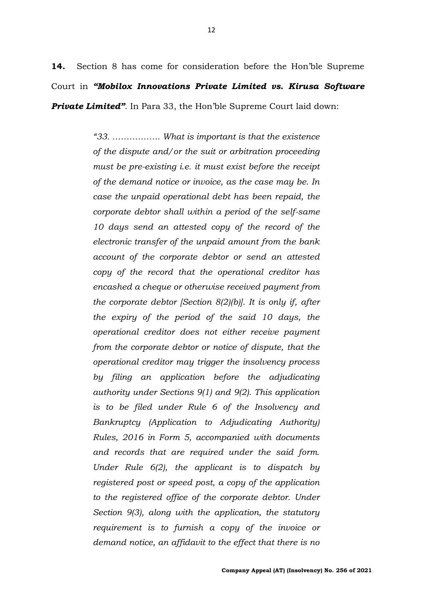**14.** Section 8 has come for consideration before the Hon'ble Supreme Court in *"Mobilox Innovations Private Limited vs. Kirusa Software Private Limited"*. In Para 33, the Hon'ble Supreme Court laid down:

> *"33. …………….. What is important is that the existence of the dispute and/or the suit or arbitration proceeding must be pre-existing i.e. it must exist before the receipt of the demand notice or invoice, as the case may be. In case the unpaid operational debt has been repaid, the corporate debtor shall within a period of the self-same 10 days send an attested copy of the record of the electronic transfer of the unpaid amount from the bank account of the corporate debtor or send an attested copy of the record that the operational creditor has encashed a cheque or otherwise received payment from the corporate debtor [Section 8(2)(b)]. It is only if, after the expiry of the period of the said 10 days, the operational creditor does not either receive payment from the corporate debtor or notice of dispute, that the operational creditor may trigger the insolvency process by filing an application before the adjudicating authority under Sections 9(1) and 9(2). This application is to be filed under Rule 6 of the Insolvency and Bankruptcy (Application to Adjudicating Authority) Rules, 2016 in Form 5, accompanied with documents and records that are required under the said form. Under Rule 6(2), the applicant is to dispatch by registered post or speed post, a copy of the application to the registered office of the corporate debtor. Under Section 9(3), along with the application, the statutory requirement is to furnish a copy of the invoice or demand notice, an affidavit to the effect that there is no*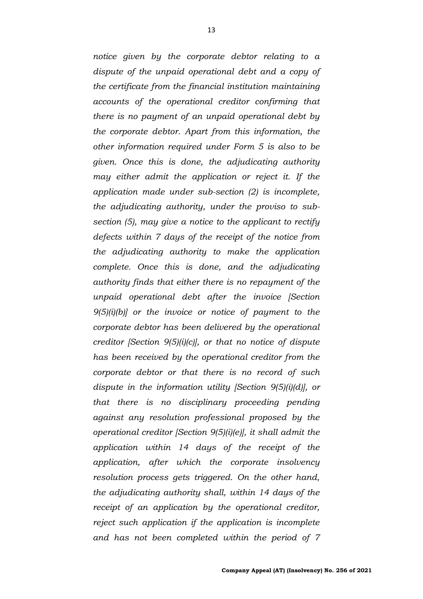*notice given by the corporate debtor relating to a dispute of the unpaid operational debt and a copy of the certificate from the financial institution maintaining accounts of the operational creditor confirming that there is no payment of an unpaid operational debt by the corporate debtor. Apart from this information, the other information required under Form 5 is also to be given. Once this is done, the adjudicating authority may either admit the application or reject it. If the application made under sub-section (2) is incomplete, the adjudicating authority, under the proviso to subsection (5), may give a notice to the applicant to rectify defects within 7 days of the receipt of the notice from the adjudicating authority to make the application complete. Once this is done, and the adjudicating authority finds that either there is no repayment of the unpaid operational debt after the invoice [Section 9(5)(i)(b)] or the invoice or notice of payment to the corporate debtor has been delivered by the operational creditor [Section 9(5)(i)(c)], or that no notice of dispute has been received by the operational creditor from the corporate debtor or that there is no record of such dispute in the information utility [Section 9(5)(i)(d)], or that there is no disciplinary proceeding pending against any resolution professional proposed by the operational creditor [Section 9(5)(i)(e)], it shall admit the application within 14 days of the receipt of the application, after which the corporate insolvency resolution process gets triggered. On the other hand, the adjudicating authority shall, within 14 days of the receipt of an application by the operational creditor, reject such application if the application is incomplete and has not been completed within the period of 7*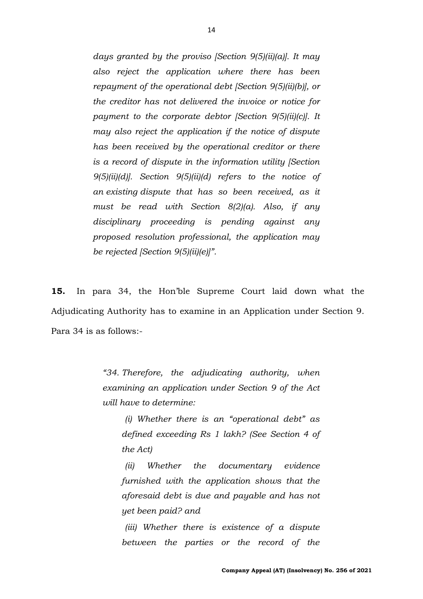*days granted by the proviso [Section 9(5)(ii)(a)]. It may also reject the application where there has been repayment of the operational debt [Section 9(5)(ii)(b)], or the creditor has not delivered the invoice or notice for payment to the corporate debtor [Section 9(5)(ii)(c)]. It may also reject the application if the notice of dispute has been received by the operational creditor or there is a record of dispute in the information utility [Section 9(5)(ii)(d)]. Section 9(5)(ii)(d) refers to the notice of an existing dispute that has so been received, as it must be read with Section 8(2)(a). Also, if any disciplinary proceeding is pending against any proposed resolution professional, the application may be rejected [Section 9(5)(ii)(e)]".*

**15.** In para 34, the Hon'ble Supreme Court laid down what the Adjudicating Authority has to examine in an Application under Section 9. Para 34 is as follows:-

> *"34. Therefore, the adjudicating authority, when examining an application under Section 9 of the Act will have to determine:*

*(i) Whether there is an "operational debt" as defined exceeding Rs 1 lakh? (See Section 4 of the Act)*

*(ii) Whether the documentary evidence furnished with the application shows that the aforesaid debt is due and payable and has not yet been paid? and*

*(iii) Whether there is existence of a dispute between the parties or the record of the*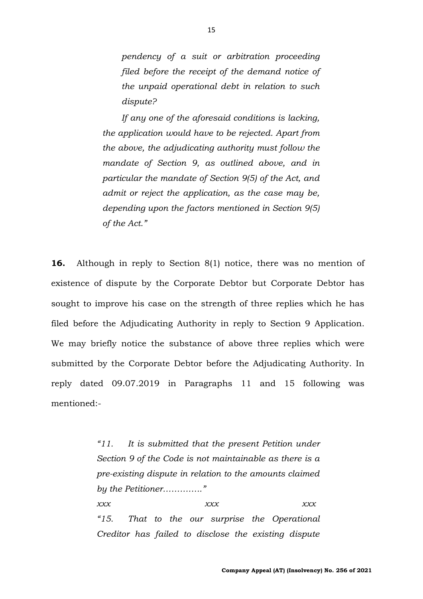*pendency of a suit or arbitration proceeding filed before the receipt of the demand notice of the unpaid operational debt in relation to such dispute?*

*If any one of the aforesaid conditions is lacking, the application would have to be rejected. Apart from the above, the adjudicating authority must follow the mandate of Section 9, as outlined above, and in particular the mandate of Section 9(5) of the Act, and admit or reject the application, as the case may be, depending upon the factors mentioned in Section 9(5) of the Act."*

**16.** Although in reply to Section 8(1) notice, there was no mention of existence of dispute by the Corporate Debtor but Corporate Debtor has sought to improve his case on the strength of three replies which he has filed before the Adjudicating Authority in reply to Section 9 Application. We may briefly notice the substance of above three replies which were submitted by the Corporate Debtor before the Adjudicating Authority. In reply dated 09.07.2019 in Paragraphs 11 and 15 following was mentioned:-

> *"11. It is submitted that the present Petition under Section 9 of the Code is not maintainable as there is a pre-existing dispute in relation to the amounts claimed by the Petitioner………….." xxx xxx xxx "15. That to the our surprise the Operational Creditor has failed to disclose the existing dispute*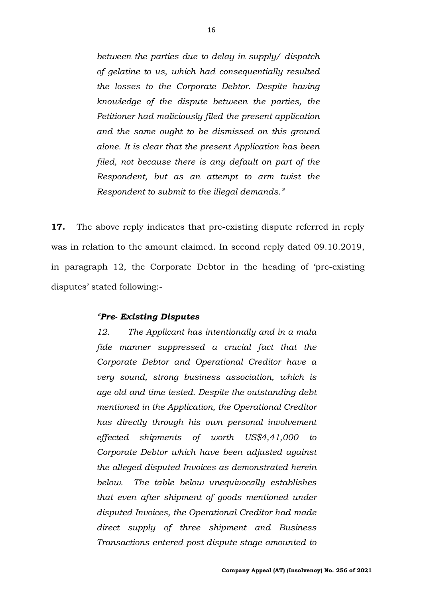*between the parties due to delay in supply/ dispatch of gelatine to us, which had consequentially resulted the losses to the Corporate Debtor. Despite having knowledge of the dispute between the parties, the Petitioner had maliciously filed the present application and the same ought to be dismissed on this ground alone. It is clear that the present Application has been filed, not because there is any default on part of the Respondent, but as an attempt to arm twist the Respondent to submit to the illegal demands."*

**17.** The above reply indicates that pre-existing dispute referred in reply was in relation to the amount claimed. In second reply dated 09.10.2019, in paragraph 12, the Corporate Debtor in the heading of 'pre-existing disputes' stated following:-

#### *"Pre- Existing Disputes*

*12. The Applicant has intentionally and in a mala fide manner suppressed a crucial fact that the Corporate Debtor and Operational Creditor have a very sound, strong business association, which is age old and time tested. Despite the outstanding debt mentioned in the Application, the Operational Creditor has directly through his own personal involvement effected shipments of worth US\$4,41,000 to Corporate Debtor which have been adjusted against the alleged disputed Invoices as demonstrated herein below. The table below unequivocally establishes that even after shipment of goods mentioned under disputed Invoices, the Operational Creditor had made direct supply of three shipment and Business Transactions entered post dispute stage amounted to*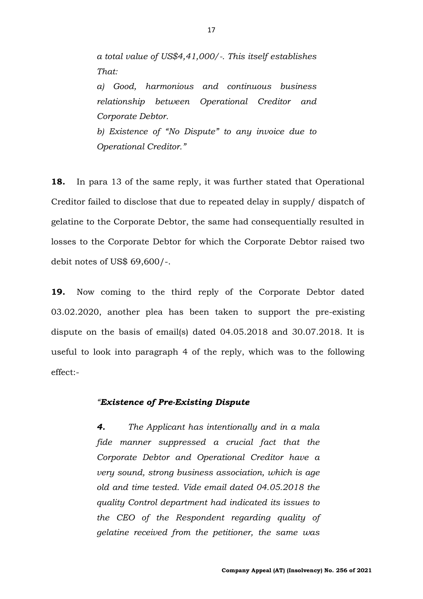*a total value of US\$4,41,000/-. This itself establishes That:*

*a) Good, harmonious and continuous business relationship between Operational Creditor and Corporate Debtor. b) Existence of "No Dispute" to any invoice due to Operational Creditor."*

**18.** In para 13 of the same reply, it was further stated that Operational Creditor failed to disclose that due to repeated delay in supply/ dispatch of gelatine to the Corporate Debtor, the same had consequentially resulted in losses to the Corporate Debtor for which the Corporate Debtor raised two debit notes of US\$ 69,600/-.

**19.** Now coming to the third reply of the Corporate Debtor dated 03.02.2020, another plea has been taken to support the pre-existing dispute on the basis of email(s) dated 04.05.2018 and 30.07.2018. It is useful to look into paragraph 4 of the reply, which was to the following effect:-

### *"Existence of Pre-Existing Dispute*

*4. The Applicant has intentionally and in a mala fide manner suppressed a crucial fact that the Corporate Debtor and Operational Creditor have a very sound, strong business association, which is age old and time tested. Vide email dated 04.05.2018 the quality Control department had indicated its issues to the CEO of the Respondent regarding quality of gelatine received from the petitioner, the same was*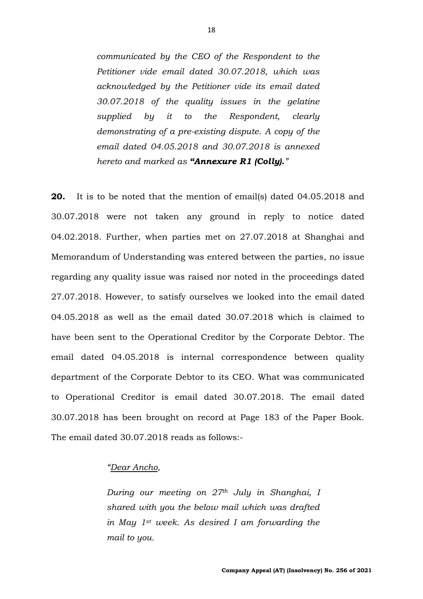*communicated by the CEO of the Respondent to the Petitioner vide email dated 30.07.2018, which was acknowledged by the Petitioner vide its email dated 30.07.2018 of the quality issues in the gelatine supplied by it to the Respondent, clearly demonstrating of a pre-existing dispute. A copy of the email dated 04.05.2018 and 30.07.2018 is annexed hereto and marked as "Annexure R1 (Colly)."*

**20.** It is to be noted that the mention of email(s) dated 04.05.2018 and 30.07.2018 were not taken any ground in reply to notice dated 04.02.2018. Further, when parties met on 27.07.2018 at Shanghai and Memorandum of Understanding was entered between the parties, no issue regarding any quality issue was raised nor noted in the proceedings dated 27.07.2018. However, to satisfy ourselves we looked into the email dated 04.05.2018 as well as the email dated 30.07.2018 which is claimed to have been sent to the Operational Creditor by the Corporate Debtor. The email dated 04.05.2018 is internal correspondence between quality department of the Corporate Debtor to its CEO. What was communicated to Operational Creditor is email dated 30.07.2018. The email dated 30.07.2018 has been brought on record at Page 183 of the Paper Book. The email dated 30.07.2018 reads as follows:-

#### *"Dear Ancho,*

*During our meeting on 27th July in Shanghai, I shared with you the below mail which was drafted in May 1st week. As desired I am forwarding the mail to you.*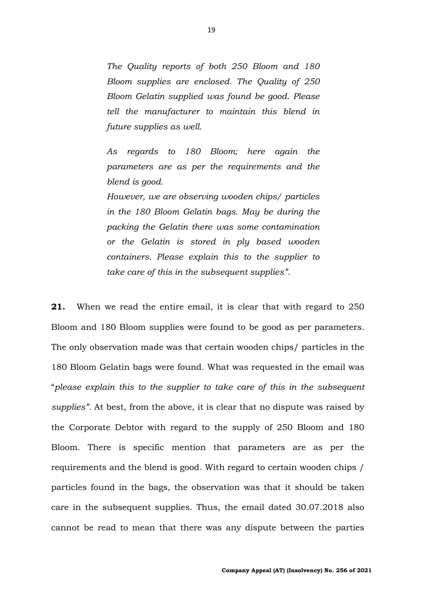*The Quality reports of both 250 Bloom and 180 Bloom supplies are enclosed. The Quality of 250 Bloom Gelatin supplied was found be good. Please tell the manufacturer to maintain this blend in future supplies as well.*

*As regards to 180 Bloom; here again the parameters are as per the requirements and the blend is good.*

*However, we are observing wooden chips/ particles in the 180 Bloom Gelatin bags. May be during the packing the Gelatin there was some contamination or the Gelatin is stored in ply based wooden containers. Please explain this to the supplier to take care of this in the subsequent supplies".*

**21.** When we read the entire email, it is clear that with regard to 250 Bloom and 180 Bloom supplies were found to be good as per parameters. The only observation made was that certain wooden chips/ particles in the 180 Bloom Gelatin bags were found. What was requested in the email was "*please explain this to the supplier to take care of this in the subsequent supplies".* At best, from the above, it is clear that no dispute was raised by the Corporate Debtor with regard to the supply of 250 Bloom and 180 Bloom. There is specific mention that parameters are as per the requirements and the blend is good. With regard to certain wooden chips / particles found in the bags, the observation was that it should be taken care in the subsequent supplies. Thus, the email dated 30.07.2018 also cannot be read to mean that there was any dispute between the parties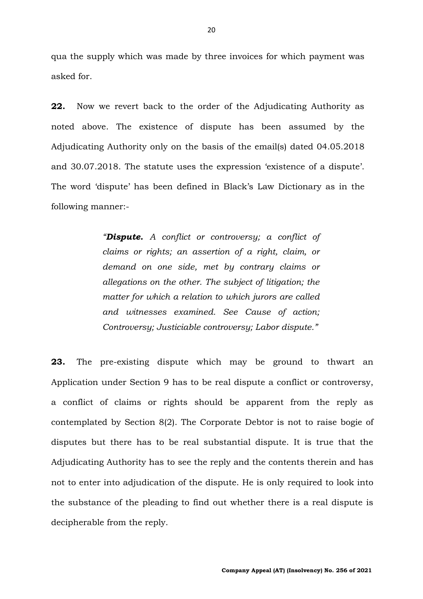qua the supply which was made by three invoices for which payment was asked for.

**22.** Now we revert back to the order of the Adjudicating Authority as noted above. The existence of dispute has been assumed by the Adjudicating Authority only on the basis of the email(s) dated 04.05.2018 and 30.07.2018. The statute uses the expression 'existence of a dispute'. The word 'dispute' has been defined in Black's Law Dictionary as in the following manner:-

> *"Dispute. A conflict or controversy; a conflict of claims or rights; an assertion of a right, claim, or demand on one side, met by contrary claims or allegations on the other. The subject of litigation; the matter for which a relation to which jurors are called and witnesses examined. See Cause of action; Controversy; Justiciable controversy; Labor dispute."*

**23.** The pre-existing dispute which may be ground to thwart an Application under Section 9 has to be real dispute a conflict or controversy, a conflict of claims or rights should be apparent from the reply as contemplated by Section 8(2). The Corporate Debtor is not to raise bogie of disputes but there has to be real substantial dispute. It is true that the Adjudicating Authority has to see the reply and the contents therein and has not to enter into adjudication of the dispute. He is only required to look into the substance of the pleading to find out whether there is a real dispute is decipherable from the reply.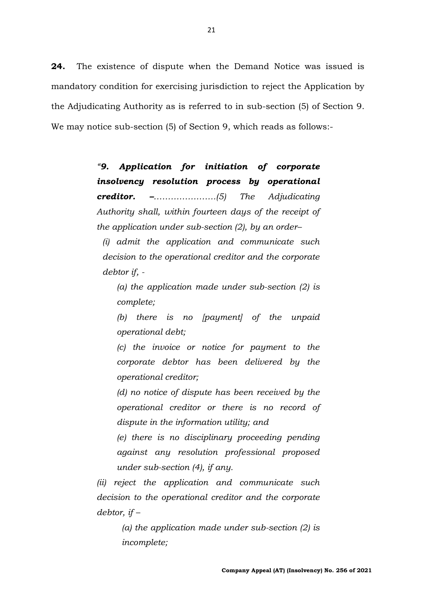**24.** The existence of dispute when the Demand Notice was issued is mandatory condition for exercising jurisdiction to reject the Application by the Adjudicating Authority as is referred to in sub-section (5) of Section 9. We may notice sub-section (5) of Section 9, which reads as follows:-

> *"9. Application for initiation of corporate insolvency resolution process by operational creditor. –………………….(5) The Adjudicating Authority shall, within fourteen days of the receipt of the application under sub-section (2), by an order–*

*(i) admit the application and communicate such decision to the operational creditor and the corporate debtor if, -*

*(a) the application made under sub-section (2) is complete;*

*(b) there is no [payment] of the unpaid operational debt;* 

*(c) the invoice or notice for payment to the corporate debtor has been delivered by the operational creditor;* 

*(d) no notice of dispute has been received by the operational creditor or there is no record of dispute in the information utility; and* 

*(e) there is no disciplinary proceeding pending against any resolution professional proposed under sub-section (4), if any.* 

*(ii) reject the application and communicate such decision to the operational creditor and the corporate debtor, if –*

> *(a) the application made under sub-section (2) is incomplete;*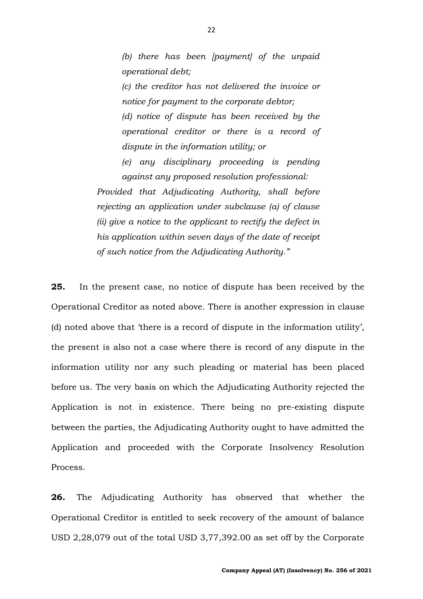*(b) there has been [payment] of the unpaid operational debt;* 

*(c) the creditor has not delivered the invoice or notice for payment to the corporate debtor; (d) notice of dispute has been received by the operational creditor or there is a record of dispute in the information utility; or* 

*(e) any disciplinary proceeding is pending against any proposed resolution professional:* 

*Provided that Adjudicating Authority, shall before rejecting an application under subclause (a) of clause (ii) give a notice to the applicant to rectify the defect in his application within seven days of the date of receipt of such notice from the Adjudicating Authority."*

**25.** In the present case, no notice of dispute has been received by the Operational Creditor as noted above. There is another expression in clause (d) noted above that 'there is a record of dispute in the information utility', the present is also not a case where there is record of any dispute in the information utility nor any such pleading or material has been placed before us. The very basis on which the Adjudicating Authority rejected the Application is not in existence. There being no pre-existing dispute between the parties, the Adjudicating Authority ought to have admitted the Application and proceeded with the Corporate Insolvency Resolution Process.

**26.** The Adjudicating Authority has observed that whether the Operational Creditor is entitled to seek recovery of the amount of balance USD 2,28,079 out of the total USD 3,77,392.00 as set off by the Corporate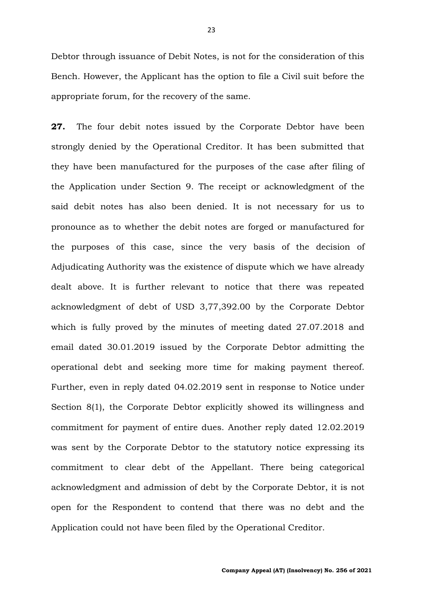Debtor through issuance of Debit Notes, is not for the consideration of this Bench. However, the Applicant has the option to file a Civil suit before the appropriate forum, for the recovery of the same.

**27.** The four debit notes issued by the Corporate Debtor have been strongly denied by the Operational Creditor. It has been submitted that they have been manufactured for the purposes of the case after filing of the Application under Section 9. The receipt or acknowledgment of the said debit notes has also been denied. It is not necessary for us to pronounce as to whether the debit notes are forged or manufactured for the purposes of this case, since the very basis of the decision of Adjudicating Authority was the existence of dispute which we have already dealt above. It is further relevant to notice that there was repeated acknowledgment of debt of USD 3,77,392.00 by the Corporate Debtor which is fully proved by the minutes of meeting dated 27.07.2018 and email dated 30.01.2019 issued by the Corporate Debtor admitting the operational debt and seeking more time for making payment thereof. Further, even in reply dated 04.02.2019 sent in response to Notice under Section 8(1), the Corporate Debtor explicitly showed its willingness and commitment for payment of entire dues. Another reply dated 12.02.2019 was sent by the Corporate Debtor to the statutory notice expressing its commitment to clear debt of the Appellant. There being categorical acknowledgment and admission of debt by the Corporate Debtor, it is not open for the Respondent to contend that there was no debt and the Application could not have been filed by the Operational Creditor.